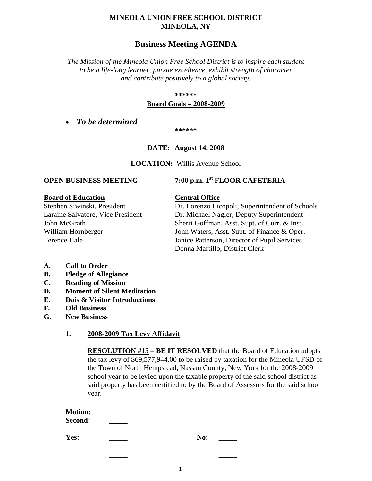#### **MINEOLA UNION FREE SCHOOL DISTRICT MINEOLA, NY**

### **Business Meeting AGENDA**

*The Mission of the Mineola Union Free School District is to inspire each student to be a life-long learner, pursue excellence, exhibit strength of character and contribute positively to a global society.*

#### **\*\*\*\*\*\***

#### **Board Goals – 2008-2009**

• *To be determined*

**\*\*\*\*\*\***

#### **DATE: August 14, 2008**

**LOCATION:** Willis Avenue School

#### **Board of Education Central Office**

### **OPEN BUSINESS MEETING 7:00 p.m. 1st FLOOR CAFETERIA**

Stephen Siwinski, President Dr. Lorenzo Licopoli, Superintendent of Schools Laraine Salvatore, Vice President Dr. Michael Nagler, Deputy Superintendent John McGrath Sherri Goffman, Asst. Supt. of Curr. & Inst. William Hornberger John Waters, Asst. Supt. of Finance & Oper. Terence Hale Janice Patterson, Director of Pupil Services Donna Martillo, District Clerk

- **A. Call to Order**
- **B. Pledge of Allegiance**
- **C. Reading of Mission**
- **D. Moment of Silent Meditation**
- **E. Dais & Visitor Introductions**
- **F. Old Business**
- **G. New Business**

#### **1. 2008-2009 Tax Levy Affidavit**

**RESOLUTION #15 – BE IT RESOLVED** that the Board of Education adopts the tax levy of \$69,577,944.00 to be raised by taxation for the Mineola UFSD of the Town of North Hempstead, Nassau County, New York for the 2008-2009 school year to be levied upon the taxable property of the said school district as said property has been certified to by the Board of Assessors for the said school year.

| <b>Motion:</b><br>Second: |     |  |
|---------------------------|-----|--|
| Yes:                      | No: |  |
|                           |     |  |

\_\_\_\_\_ \_\_\_\_\_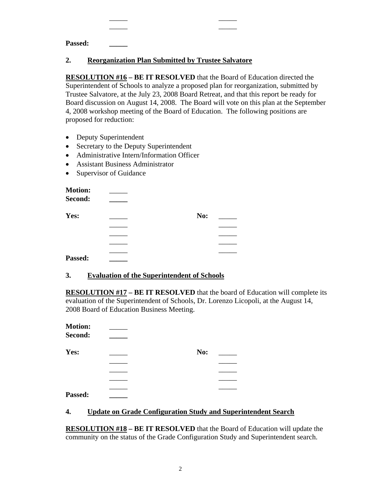**Passed: \_\_\_\_\_**

#### **2. Reorganization Plan Submitted by Trustee Salvatore**

\_\_\_\_\_ \_\_\_\_\_ \_\_\_\_\_ \_\_\_\_\_

**RESOLUTION #16 – BE IT RESOLVED** that the Board of Education directed the Superintendent of Schools to analyze a proposed plan for reorganization, submitted by Trustee Salvatore, at the July 23, 2008 Board Retreat, and that this report be ready for Board discussion on August 14, 2008. The Board will vote on this plan at the September 4, 2008 workshop meeting of the Board of Education. The following positions are proposed for reduction:

- Deputy Superintendent
- Secretary to the Deputy Superintendent
- Administrative Intern/Information Officer
- Assistant Business Administrator
- Supervisor of Guidance

| <b>Motion:</b> |     |  |
|----------------|-----|--|
| Second:        |     |  |
| Yes:           | No: |  |
|                |     |  |
|                |     |  |
|                |     |  |
|                |     |  |
| Passed:        |     |  |

#### **3. Evaluation of the Superintendent of Schools**

**RESOLUTION #17 – BE IT RESOLVED** that the board of Education will complete its evaluation of the Superintendent of Schools, Dr. Lorenzo Licopoli, at the August 14, 2008 Board of Education Business Meeting.

| <b>Motion:</b><br>Second: |     |  |
|---------------------------|-----|--|
| Yes:                      | No: |  |
|                           |     |  |
|                           |     |  |
|                           |     |  |
|                           |     |  |
| Passed:                   |     |  |

#### **4. Update on Grade Configuration Study and Superintendent Search**

**RESOLUTION #18 – BE IT RESOLVED** that the Board of Education will update the community on the status of the Grade Configuration Study and Superintendent search.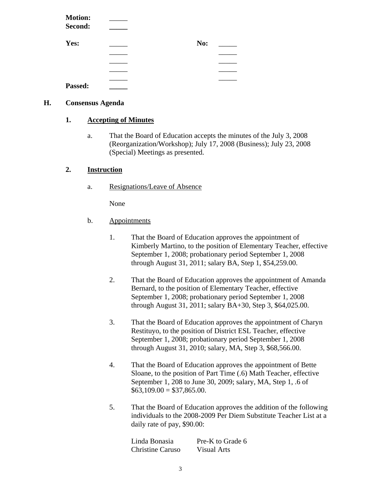| <b>Motion:</b> |     |  |
|----------------|-----|--|
| Second:        |     |  |
| Yes:           | No: |  |
|                |     |  |
|                |     |  |
|                |     |  |
|                |     |  |
| Passed:        |     |  |

#### **H. Consensus Agenda**

#### **1. Accepting of Minutes**

a. That the Board of Education accepts the minutes of the July 3, 2008 (Reorganization/Workshop); July 17, 2008 (Business); July 23, 2008 (Special) Meetings as presented.

#### **2. Instruction**

a. Resignations/Leave of Absence

None

- b. Appointments
	- 1. That the Board of Education approves the appointment of Kimberly Martino, to the position of Elementary Teacher, effective September 1, 2008; probationary period September 1, 2008 through August 31, 2011; salary BA, Step 1, \$54,259.00.
	- 2. That the Board of Education approves the appointment of Amanda Bernard, to the position of Elementary Teacher, effective September 1, 2008; probationary period September 1, 2008 through August 31, 2011; salary BA+30, Step 3, \$64,025.00.
	- 3. That the Board of Education approves the appointment of Charyn Restituyo, to the position of District ESL Teacher, effective September 1, 2008; probationary period September 1, 2008 through August 31, 2010; salary, MA, Step 3, \$68,566.00.
	- 4. That the Board of Education approves the appointment of Bette Sloane, to the position of Part Time (.6) Math Teacher, effective September 1, 208 to June 30, 2009; salary, MA, Step 1, .6 of  $$63,109.00 = $37,865.00.$
	- 5. That the Board of Education approves the addition of the following individuals to the 2008-2009 Per Diem Substitute Teacher List at a daily rate of pay, \$90.00:

| Linda Bonasia           | Pre-K to Grade 6 |
|-------------------------|------------------|
| <b>Christine Caruso</b> | Visual Arts      |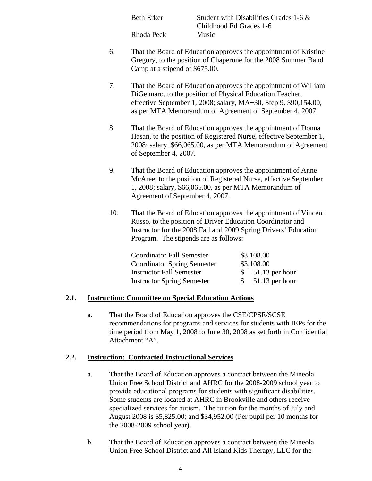Beth Erker Student with Disabilities Grades 1-6 & Childhood Ed Grades 1-6 Rhoda Peck Music

- 6. That the Board of Education approves the appointment of Kristine Gregory, to the position of Chaperone for the 2008 Summer Band Camp at a stipend of \$675.00.
- 7. That the Board of Education approves the appointment of William DiGennaro, to the position of Physical Education Teacher, effective September 1, 2008; salary, MA+30, Step 9, \$90,154.00, as per MTA Memorandum of Agreement of September 4, 2007.
- 8. That the Board of Education approves the appointment of Donna Hasan, to the position of Registered Nurse, effective September 1, 2008; salary, \$66,065.00, as per MTA Memorandum of Agreement of September 4, 2007.
- 9. That the Board of Education approves the appointment of Anne McAree, to the position of Registered Nurse, effective September 1, 2008; salary, \$66,065.00, as per MTA Memorandum of Agreement of September 4, 2007.
- 10. That the Board of Education approves the appointment of Vincent Russo, to the position of Driver Education Coordinator and Instructor for the 2008 Fall and 2009 Spring Drivers' Education Program. The stipends are as follows:

| <b>Coordinator Fall Semester</b>   | \$3,108.00                       |
|------------------------------------|----------------------------------|
| <b>Coordinator Spring Semester</b> | \$3,108.00                       |
| <b>Instructor Fall Semester</b>    | $$51.13$ per hour                |
| <b>Instructor Spring Semester</b>  | $51.13$ per hour<br><sup>S</sup> |

#### **2.1. Instruction: Committee on Special Education Actions**

a. That the Board of Education approves the CSE/CPSE/SCSE recommendations for programs and services for students with IEPs for the time period from May 1, 2008 to June 30, 2008 as set forth in Confidential Attachment "A".

#### **2.2. Instruction: Contracted Instructional Services**

- a. That the Board of Education approves a contract between the Mineola Union Free School District and AHRC for the 2008-2009 school year to provide educational programs for students with significant disabilities. Some students are located at AHRC in Brookville and others receive specialized services for autism. The tuition for the months of July and August 2008 is \$5,825.00; and \$34,952.00 (Per pupil per 10 months for the 2008-2009 school year).
- b. That the Board of Education approves a contract between the Mineola Union Free School District and All Island Kids Therapy, LLC for the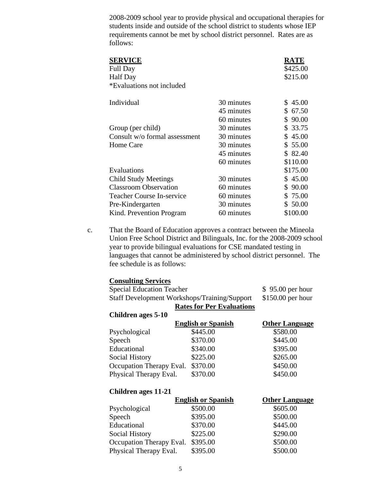2008-2009 school year to provide physical and occupational therapies for students inside and outside of the school district to students whose IEP requirements cannot be met by school district personnel. Rates are as follows:

| <b>SERVICE</b><br><b>Full Day</b><br><b>Half</b> Day<br>*Evaluations not included |            | RATE<br>\$425.00<br>\$215.00 |
|-----------------------------------------------------------------------------------|------------|------------------------------|
| Individual                                                                        | 30 minutes | 45.00<br>S                   |
|                                                                                   | 45 minutes | 67.50<br>S.                  |
|                                                                                   | 60 minutes | 90.00<br>\$                  |
| Group (per child)                                                                 | 30 minutes | \$ 33.75                     |
| Consult w/o formal assessment                                                     | 30 minutes | 45.00<br>S.                  |
| Home Care                                                                         | 30 minutes | \$55.00                      |
|                                                                                   | 45 minutes | \$ 82.40                     |
|                                                                                   | 60 minutes | \$110.00                     |
| Evaluations                                                                       |            | \$175.00                     |
| <b>Child Study Meetings</b>                                                       | 30 minutes | \$45.00                      |
| <b>Classroom Observation</b>                                                      | 60 minutes | 90.00<br>S                   |
| <b>Teacher Course In-service</b>                                                  | 60 minutes | \$75.00                      |
| Pre-Kindergarten                                                                  | 30 minutes | \$ 50.00                     |
| Kind. Prevention Program                                                          | 60 minutes | \$100.00                     |

c. That the Board of Education approves a contract between the Mineola Union Free School District and Bilinguals, Inc. for the 2008-2009 school year to provide bilingual evaluations for CSE mandated testing in languages that cannot be administered by school district personnel. The fee schedule is as follows:

| <b>Consulting Services</b>                   |                                  |                       |
|----------------------------------------------|----------------------------------|-----------------------|
| <b>Special Education Teacher</b>             |                                  | $$95.00$ per hour     |
| Staff Development Workshops/Training/Support |                                  | $$150.00$ per hour    |
|                                              | <b>Rates for Per Evaluations</b> |                       |
| Children ages 5-10                           |                                  |                       |
|                                              | <b>English or Spanish</b>        | <b>Other Language</b> |
| Psychological                                | \$445.00                         | \$580.00              |
| Speech                                       | \$370.00                         | \$445.00              |
| Educational                                  | \$340.00                         | \$395.00              |
| Social History                               | \$225.00                         | \$265.00              |
| Occupation Therapy Eval.                     | \$370.00                         | \$450.00              |
| Physical Therapy Eval.                       | \$370.00                         | \$450.00              |
|                                              |                                  |                       |

| Children ages 11-21      |                           |                       |  |
|--------------------------|---------------------------|-----------------------|--|
|                          | <b>English or Spanish</b> | <b>Other Language</b> |  |
| Psychological            | \$500.00                  | \$605.00              |  |
| Speech                   | \$395.00                  | \$500.00              |  |
| Educational              | \$370.00                  | \$445.00              |  |
| Social History           | \$225.00                  | \$290.00              |  |
| Occupation Therapy Eval. | \$395.00                  | \$500.00              |  |
| Physical Therapy Eval.   | \$395.00                  | \$500.00              |  |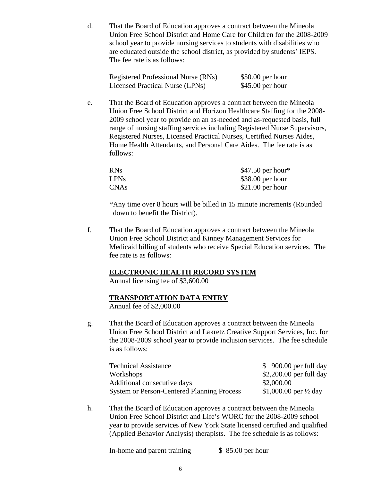d. That the Board of Education approves a contract between the Mineola Union Free School District and Home Care for Children for the 2008-2009 school year to provide nursing services to students with disabilities who are educated outside the school district, as provided by students' IEPS. The fee rate is as follows:

| Registered Professional Nurse (RNs) | $$50.00$ per hour |
|-------------------------------------|-------------------|
| Licensed Practical Nurse (LPNs)     | $$45.00$ per hour |

e. That the Board of Education approves a contract between the Mineola Union Free School District and Horizon Healthcare Staffing for the 2008- 2009 school year to provide on an as-needed and as-requested basis, full range of nursing staffing services including Registered Nurse Supervisors, Registered Nurses, Licensed Practical Nurses, Certified Nurses Aides, Home Health Attendants, and Personal Care Aides. The fee rate is as follows:

| <b>RNs</b>  | $$47.50$ per hour* |
|-------------|--------------------|
| <b>LPNs</b> | $$38.00$ per hour  |
| <b>CNAs</b> | $$21.00$ per hour  |

\*Any time over 8 hours will be billed in 15 minute increments (Rounded down to benefit the District).

f. That the Board of Education approves a contract between the Mineola Union Free School District and Kinney Management Services for Medicaid billing of students who receive Special Education services. The fee rate is as follows:

#### **ELECTRONIC HEALTH RECORD SYSTEM**

Annual licensing fee of \$3,600.00

#### **TRANSPORTATION DATA ENTRY**

Annual fee of \$2,000.00

g. That the Board of Education approves a contract between the Mineola Union Free School District and Lakretz Creative Support Services, Inc. for the 2008-2009 school year to provide inclusion services. The fee schedule is as follows:

| <b>Technical Assistance</b>                       | $$900.00$ per full day           |
|---------------------------------------------------|----------------------------------|
| Workshops                                         | $$2,200.00$ per full day         |
| Additional consecutive days                       | \$2,000.00                       |
| <b>System or Person-Centered Planning Process</b> | \$1,000.00 per $\frac{1}{2}$ day |

h. That the Board of Education approves a contract between the Mineola Union Free School District and Life's WORC for the 2008-2009 school year to provide services of New York State licensed certified and qualified (Applied Behavior Analysis) therapists. The fee schedule is as follows:

In-home and parent training \$ 85.00 per hour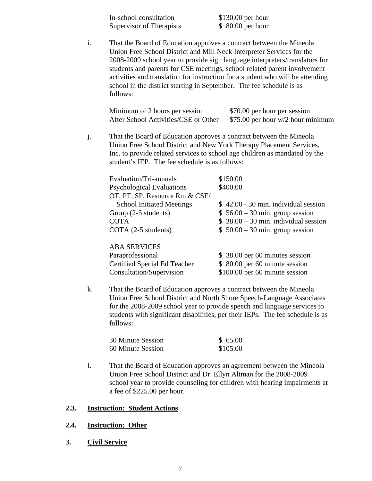| In-school consultation   | $$130.00$ per hour |
|--------------------------|--------------------|
| Supervisor of Therapists | $$80.00$ per hour  |

i. That the Board of Education approves a contract between the Mineola Union Free School District and Mill Neck Interpreter Services for the 2008-2009 school year to provide sign language interpreters/translators for students and parents for CSE meetings, school related parent involvement activities and translation for instruction for a student who will be attending school in the district starting in September. The fee schedule is as follows:

| Minimum of 2 hours per session       | \$70.00 per hour per session        |
|--------------------------------------|-------------------------------------|
| After School Activities/CSE or Other | \$75.00 per hour $w/2$ hour minimum |

j. That the Board of Education approves a contract between the Mineola Union Free School District and New York Therapy Placement Services, Inc. to provide related services to school age children as mandated by the student's IEP. The fee schedule is as follows:

| Evaluation/Tri-annuals           | \$150.00                              |
|----------------------------------|---------------------------------------|
| <b>Psychological Evaluations</b> | \$400.00                              |
| OT, PT, SP, Resource Rm & CSE/   |                                       |
| <b>School Initiated Meetings</b> | $$42.00 - 30$ min. individual session |
| Group (2-5 students)             | $$56.00 - 30$ min. group session      |
| <b>COTA</b>                      | $$38.00 - 30$ min. individual session |
| COTA (2-5 students)              | $$50.00 - 30$ min. group session      |
|                                  |                                       |
| <b>ABA SERVICES</b>              |                                       |

| \$38.00 per 60 minutes session |
|--------------------------------|
| \$ 80.00 per 60 minute session |
| \$100.00 per 60 minute session |
|                                |

k. That the Board of Education approves a contract between the Mineola Union Free School District and North Shore Speech-Language Associates for the 2008-2009 school year to provide speech and language services to students with significant disabilities, per their IEPs. The fee schedule is as follows:

| 30 Minute Session | \$65.00  |
|-------------------|----------|
| 60 Minute Session | \$105.00 |

l. That the Board of Education approves an agreement between the Mineola Union Free School District and Dr. Ellyn Altman for the 2008-2009 school year to provide counseling for children with hearing impairments at a fee of \$225.00 per hour.

#### **2.3. Instruction: Student Actions**

#### **2.4. Instruction: Other**

**3. Civil Service**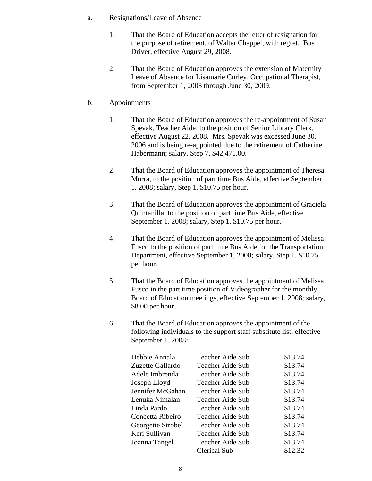#### a. Resignations/Leave of Absence

- 1. That the Board of Education accepts the letter of resignation for the purpose of retirement, of Walter Chappel, with regret, Bus Driver, effective August 29, 2008.
- 2. That the Board of Education approves the extension of Maternity Leave of Absence for Lisamarie Curley, Occupational Therapist, from September 1, 2008 through June 30, 2009.

#### b. Appointments

- 1. That the Board of Education approves the re-appointment of Susan Spevak, Teacher Aide, to the position of Senior Library Clerk, effective August 22, 2008. Mrs. Spevak was excessed June 30, 2006 and is being re-appointed due to the retirement of Catherine Habermann; salary, Step 7, \$42,471.00.
- 2. That the Board of Education approves the appointment of Theresa Morra, to the position of part time Bus Aide, effective September 1, 2008; salary, Step 1, \$10.75 per hour.
- 3. That the Board of Education approves the appointment of Graciela Quintanilla, to the position of part time Bus Aide, effective September 1, 2008; salary, Step 1, \$10.75 per hour.
- 4. That the Board of Education approves the appointment of Melissa Fusco to the position of part time Bus Aide for the Transportation Department, effective September 1, 2008; salary, Step 1, \$10.75 per hour.
- 5. That the Board of Education approves the appointment of Melissa Fusco in the part time position of Videographer for the monthly Board of Education meetings, effective September 1, 2008; salary, \$8.00 per hour.
- 6. That the Board of Education approves the appointment of the following individuals to the support staff substitute list, effective September 1, 2008:

| Debbie Annala     | Teacher Aide Sub | \$13.74 |
|-------------------|------------------|---------|
| Zuzette Gallardo  | Teacher Aide Sub | \$13.74 |
| Adele Imbrenda    | Teacher Aide Sub | \$13.74 |
| Joseph Lloyd      | Teacher Aide Sub | \$13.74 |
| Jennifer McGahan  | Teacher Aide Sub | \$13.74 |
| Lenuka Nimalan    | Teacher Aide Sub | \$13.74 |
| Linda Pardo       | Teacher Aide Sub | \$13.74 |
| Concetta Ribeiro  | Teacher Aide Sub | \$13.74 |
| Georgette Strobel | Teacher Aide Sub | \$13.74 |
| Keri Sullivan     | Teacher Aide Sub | \$13.74 |
| Joanna Tangel     | Teacher Aide Sub | \$13.74 |
|                   | Clerical Sub     | \$12.32 |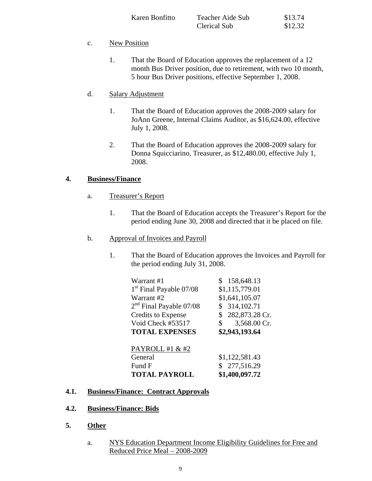| Karen Bonfitto | Teacher Aide Sub | \$13.74 |
|----------------|------------------|---------|
|                | Clerical Sub     | \$12.32 |

#### c. New Position

1. That the Board of Education approves the replacement of a 12 month Bus Driver position, due to retirement, with two 10 month, 5 hour Bus Driver positions, effective September 1, 2008.

#### d. Salary Adjustment

- 1. That the Board of Education approves the 2008-2009 salary for JoAnn Greene, Internal Claims Auditor, as \$16,624.00, effective July 1, 2008.
- 2. That the Board of Education approves the 2008-2009 salary for Donna Squicciarino, Treasurer, as \$12,480.00, effective July 1, 2008.

#### **4. Business/Finance**

- a. Treasurer's Report
	- 1. That the Board of Education accepts the Treasurer's Report for the period ending June 30, 2008 and directed that it be placed on file.
- b. Approval of Invoices and Payroll
	- 1. That the Board of Education approves the Invoices and Payroll for the period ending July 31, 2008.

| \$158,648.13       |
|--------------------|
| \$1,115,779.01     |
| \$1,641,105.07     |
| \$314,102.71       |
| 282,873.28 Cr.     |
| 3,568.00 Cr.<br>\$ |
| \$2,943,193.64     |
|                    |
|                    |
| \$1,122,581.43     |
| \$277,516.29       |
| \$1,400,097.72     |
|                    |

#### **4.1. Business/Finance: Contract Approvals**

- **4.2. Business/Finance: Bids**
- **5. Other**
	- a. NYS Education Department Income Eligibility Guidelines for Free and Reduced Price Meal – 2008-2009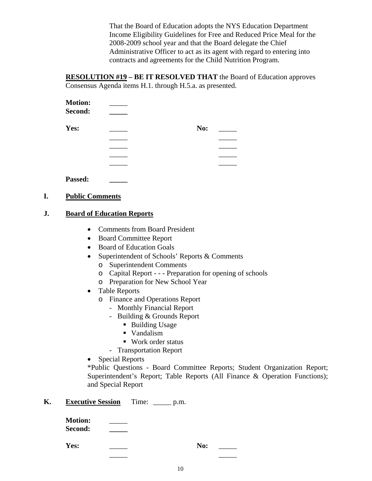That the Board of Education adopts the NYS Education Department Income Eligibility Guidelines for Free and Reduced Price Meal for the 2008-2009 school year and that the Board delegate the Chief Administrative Officer to act as its agent with regard to entering into contracts and agreements for the Child Nutrition Program.

**RESOLUTION #19 – BE IT RESOLVED THAT** the Board of Education approves Consensus Agenda items H.1. through H.5.a. as presented.

| <b>Motion:</b><br>Second: |     |  |
|---------------------------|-----|--|
| Yes:                      | No: |  |
|                           |     |  |
|                           |     |  |
|                           |     |  |
|                           |     |  |
|                           |     |  |

**Passed: \_\_\_\_\_**

#### **I. Public Comments**

#### **J. Board of Education Reports**

- Comments from Board President
- Board Committee Report
- Board of Education Goals
- Superintendent of Schools' Reports & Comments
	- o Superintendent Comments
	- o Capital Report - Preparation for opening of schools
	- o Preparation for New School Year
- Table Reports
	- o Finance and Operations Report
		- Monthly Financial Report
		- Building & Grounds Report
			- Building Usage
			- Vandalism
			- Work order status
		- Transportation Report
- Special Reports

\*Public Questions - Board Committee Reports; Student Organization Report; Superintendent's Report; Table Reports (All Finance & Operation Functions); and Special Report

#### **K. Executive Session** Time: p.m.

| <b>Motion:</b> |  |
|----------------|--|
| <b>Second:</b> |  |

**Yes:** No: \_\_\_

10

\_\_\_\_\_ \_\_\_\_\_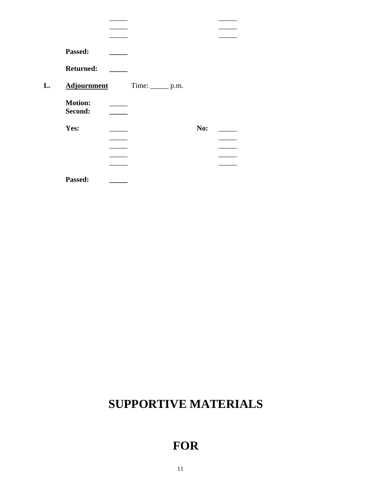| Passed:                   |                     |     |  |
|---------------------------|---------------------|-----|--|
| <b>Returned:</b>          |                     |     |  |
| <b>Adjournment</b>        | Time: ________ p.m. |     |  |
| <b>Motion:</b><br>Second: |                     |     |  |
| Yes:                      |                     | No: |  |
|                           |                     |     |  |
|                           |                     |     |  |
|                           |                     |     |  |
| Passed:                   |                     |     |  |

\_\_\_\_\_ \_\_\_\_\_

## **SUPPORTIVE MATERIALS**

### **FOR**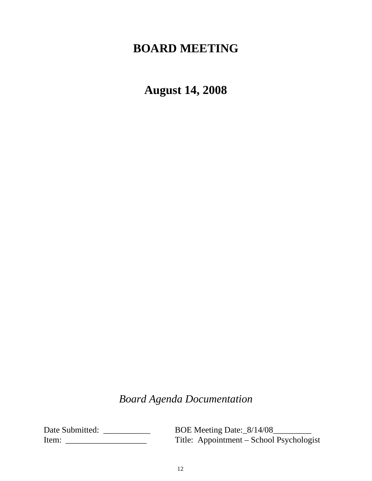### **BOARD MEETING**

**August 14, 2008**

*Board Agenda Documentation*

Date Submitted: \_\_\_\_\_\_\_\_\_\_\_\_\_ BOE Meeting Date:\_8/14/08\_\_\_\_\_\_\_\_ Item: \_\_\_\_\_\_\_\_\_\_\_\_\_\_\_\_\_\_\_ Title: Appointment – School Psychologist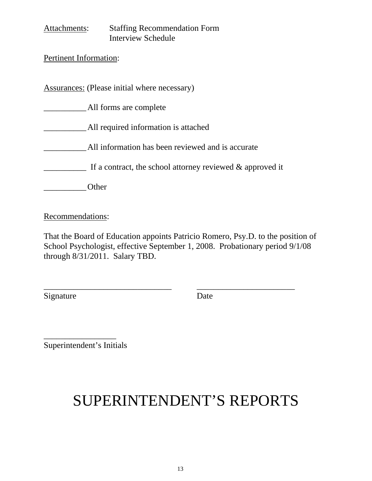| Attachments:                  | <b>Staffing Recommendation Form</b>                          |
|-------------------------------|--------------------------------------------------------------|
|                               | <b>Interview Schedule</b>                                    |
|                               |                                                              |
| <b>Pertinent Information:</b> |                                                              |
|                               |                                                              |
|                               |                                                              |
|                               | Assurances: (Please initial where necessary)                 |
|                               |                                                              |
|                               | All forms are complete                                       |
|                               |                                                              |
|                               | All required information is attached                         |
|                               |                                                              |
|                               | All information has been reviewed and is accurate            |
|                               |                                                              |
|                               | If a contract, the school attorney reviewed $\&$ approved it |
|                               |                                                              |
|                               | ther.                                                        |
|                               |                                                              |

Recommendations:

That the Board of Education appoints Patricio Romero, Psy.D. to the position of School Psychologist, effective September 1, 2008. Probationary period 9/1/08 through 8/31/2011. Salary TBD.

\_\_\_\_\_\_\_\_\_\_\_\_\_\_\_\_\_\_\_\_\_\_\_\_\_\_\_\_\_\_ \_\_\_\_\_\_\_\_\_\_\_\_\_\_\_\_\_\_\_\_\_\_\_

Signature Date

Superintendent's Initials

\_\_\_\_\_\_\_\_\_\_\_\_\_\_\_\_\_

# SUPERINTENDENT'S REPORTS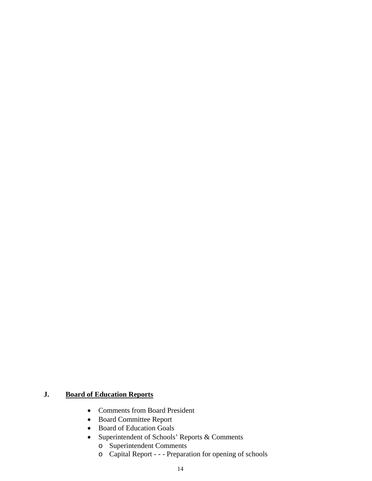### **J. Board of Education Reports**

- Comments from Board President
- Board Committee Report
- Board of Education Goals
- Superintendent of Schools' Reports & Comments
	- o Superintendent Comments
	- o Capital Report - Preparation for opening of schools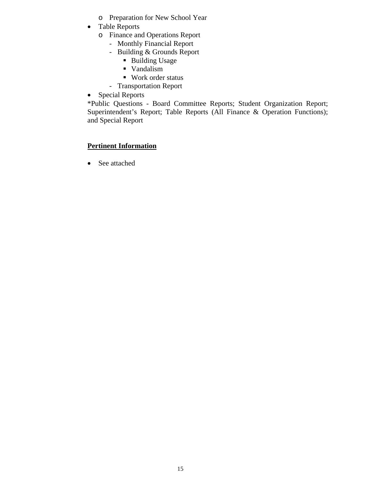- o Preparation for New School Year
- Table Reports
	- o Finance and Operations Report
		- Monthly Financial Report
		- Building & Grounds Report
			- **Building Usage**
			- **Vandalism**
			- Work order status
		- Transportation Report
- Special Reports

\*Public Questions - Board Committee Reports; Student Organization Report; Superintendent's Report; Table Reports (All Finance & Operation Functions); and Special Report

### **Pertinent Information**

• See attached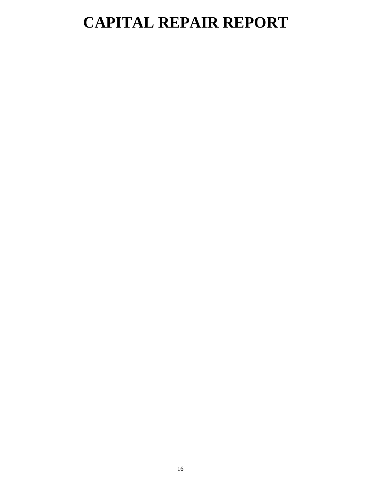## **CAPITAL REPAIR REPORT**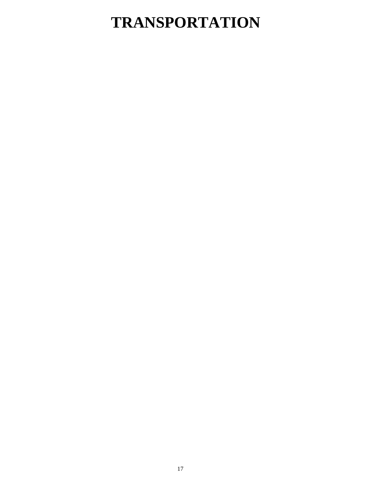# **TRANSPORTATION**